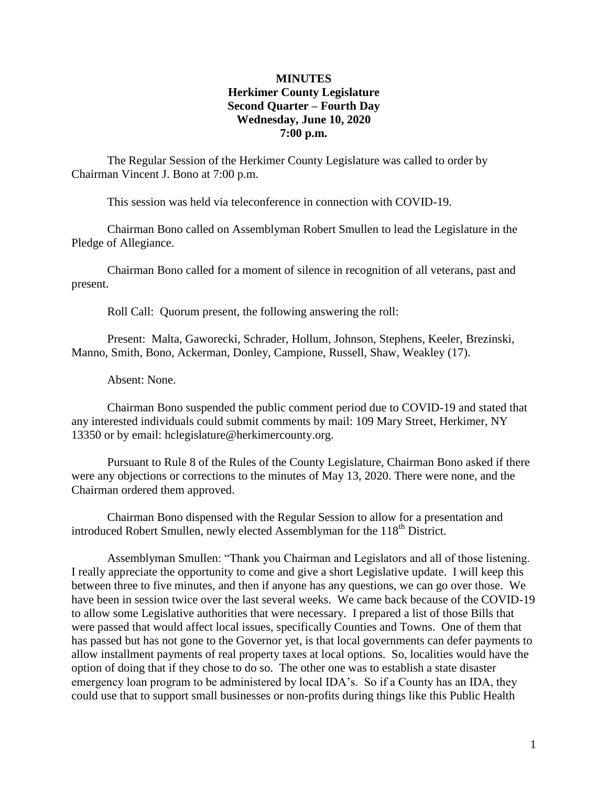## **MINUTES Herkimer County Legislature Second Quarter – Fourth Day Wednesday, June 10, 2020 7:00 p.m.**

The Regular Session of the Herkimer County Legislature was called to order by Chairman Vincent J. Bono at 7:00 p.m.

This session was held via teleconference in connection with COVID-19.

Chairman Bono called on Assemblyman Robert Smullen to lead the Legislature in the Pledge of Allegiance.

Chairman Bono called for a moment of silence in recognition of all veterans, past and present.

Roll Call: Quorum present, the following answering the roll:

Present: Malta, Gaworecki, Schrader, Hollum, Johnson, Stephens, Keeler, Brezinski, Manno, Smith, Bono, Ackerman, Donley, Campione, Russell, Shaw, Weakley (17).

Absent: None.

Chairman Bono suspended the public comment period due to COVID-19 and stated that any interested individuals could submit comments by mail: 109 Mary Street, Herkimer, NY 13350 or by email: hclegislature@herkimercounty.org.

Pursuant to Rule 8 of the Rules of the County Legislature, Chairman Bono asked if there were any objections or corrections to the minutes of May 13, 2020. There were none, and the Chairman ordered them approved.

Chairman Bono dispensed with the Regular Session to allow for a presentation and introduced Robert Smullen, newly elected Assemblyman for the 118<sup>th</sup> District.

Assemblyman Smullen: "Thank you Chairman and Legislators and all of those listening. I really appreciate the opportunity to come and give a short Legislative update. I will keep this between three to five minutes, and then if anyone has any questions, we can go over those. We have been in session twice over the last several weeks. We came back because of the COVID-19 to allow some Legislative authorities that were necessary. I prepared a list of those Bills that were passed that would affect local issues, specifically Counties and Towns. One of them that has passed but has not gone to the Governor yet, is that local governments can defer payments to allow installment payments of real property taxes at local options. So, localities would have the option of doing that if they chose to do so. The other one was to establish a state disaster emergency loan program to be administered by local IDA's. So if a County has an IDA, they could use that to support small businesses or non-profits during things like this Public Health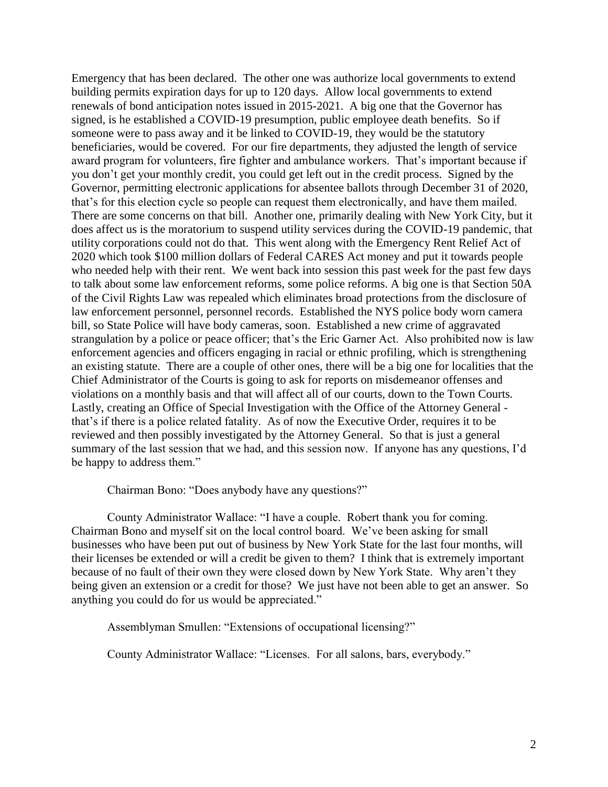Emergency that has been declared. The other one was authorize local governments to extend building permits expiration days for up to 120 days. Allow local governments to extend renewals of bond anticipation notes issued in 2015-2021. A big one that the Governor has signed, is he established a COVID-19 presumption, public employee death benefits. So if someone were to pass away and it be linked to COVID-19, they would be the statutory beneficiaries, would be covered. For our fire departments, they adjusted the length of service award program for volunteers, fire fighter and ambulance workers. That's important because if you don't get your monthly credit, you could get left out in the credit process. Signed by the Governor, permitting electronic applications for absentee ballots through December 31 of 2020, that's for this election cycle so people can request them electronically, and have them mailed. There are some concerns on that bill. Another one, primarily dealing with New York City, but it does affect us is the moratorium to suspend utility services during the COVID-19 pandemic, that utility corporations could not do that. This went along with the Emergency Rent Relief Act of 2020 which took \$100 million dollars of Federal CARES Act money and put it towards people who needed help with their rent. We went back into session this past week for the past few days to talk about some law enforcement reforms, some police reforms. A big one is that Section 50A of the Civil Rights Law was repealed which eliminates broad protections from the disclosure of law enforcement personnel, personnel records. Established the NYS police body worn camera bill, so State Police will have body cameras, soon. Established a new crime of aggravated strangulation by a police or peace officer; that's the Eric Garner Act. Also prohibited now is law enforcement agencies and officers engaging in racial or ethnic profiling, which is strengthening an existing statute. There are a couple of other ones, there will be a big one for localities that the Chief Administrator of the Courts is going to ask for reports on misdemeanor offenses and violations on a monthly basis and that will affect all of our courts, down to the Town Courts. Lastly, creating an Office of Special Investigation with the Office of the Attorney General that's if there is a police related fatality. As of now the Executive Order, requires it to be reviewed and then possibly investigated by the Attorney General. So that is just a general summary of the last session that we had, and this session now. If anyone has any questions, I'd be happy to address them."

Chairman Bono: "Does anybody have any questions?"

County Administrator Wallace: "I have a couple. Robert thank you for coming. Chairman Bono and myself sit on the local control board. We've been asking for small businesses who have been put out of business by New York State for the last four months, will their licenses be extended or will a credit be given to them? I think that is extremely important because of no fault of their own they were closed down by New York State. Why aren't they being given an extension or a credit for those? We just have not been able to get an answer. So anything you could do for us would be appreciated."

Assemblyman Smullen: "Extensions of occupational licensing?"

County Administrator Wallace: "Licenses. For all salons, bars, everybody."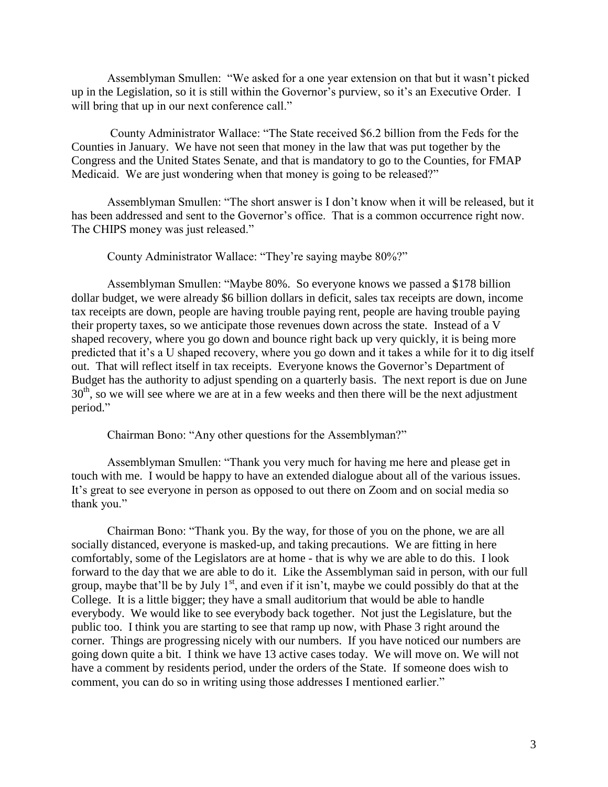Assemblyman Smullen: "We asked for a one year extension on that but it wasn't picked up in the Legislation, so it is still within the Governor's purview, so it's an Executive Order. I will bring that up in our next conference call."

County Administrator Wallace: "The State received \$6.2 billion from the Feds for the Counties in January. We have not seen that money in the law that was put together by the Congress and the United States Senate, and that is mandatory to go to the Counties, for FMAP Medicaid. We are just wondering when that money is going to be released?"

Assemblyman Smullen: "The short answer is I don't know when it will be released, but it has been addressed and sent to the Governor's office. That is a common occurrence right now. The CHIPS money was just released."

County Administrator Wallace: "They're saying maybe 80%?"

Assemblyman Smullen: "Maybe 80%. So everyone knows we passed a \$178 billion dollar budget, we were already \$6 billion dollars in deficit, sales tax receipts are down, income tax receipts are down, people are having trouble paying rent, people are having trouble paying their property taxes, so we anticipate those revenues down across the state. Instead of a V shaped recovery, where you go down and bounce right back up very quickly, it is being more predicted that it's a U shaped recovery, where you go down and it takes a while for it to dig itself out. That will reflect itself in tax receipts. Everyone knows the Governor's Department of Budget has the authority to adjust spending on a quarterly basis. The next report is due on June 30<sup>th</sup>, so we will see where we are at in a few weeks and then there will be the next adjustment period."

Chairman Bono: "Any other questions for the Assemblyman?"

Assemblyman Smullen: "Thank you very much for having me here and please get in touch with me. I would be happy to have an extended dialogue about all of the various issues. It's great to see everyone in person as opposed to out there on Zoom and on social media so thank you."

Chairman Bono: "Thank you. By the way, for those of you on the phone, we are all socially distanced, everyone is masked-up, and taking precautions. We are fitting in here comfortably, some of the Legislators are at home - that is why we are able to do this. I look forward to the day that we are able to do it. Like the Assemblyman said in person, with our full group, maybe that'll be by July  $1<sup>st</sup>$ , and even if it isn't, maybe we could possibly do that at the College. It is a little bigger; they have a small auditorium that would be able to handle everybody. We would like to see everybody back together. Not just the Legislature, but the public too. I think you are starting to see that ramp up now, with Phase 3 right around the corner. Things are progressing nicely with our numbers. If you have noticed our numbers are going down quite a bit. I think we have 13 active cases today. We will move on. We will not have a comment by residents period, under the orders of the State. If someone does wish to comment, you can do so in writing using those addresses I mentioned earlier."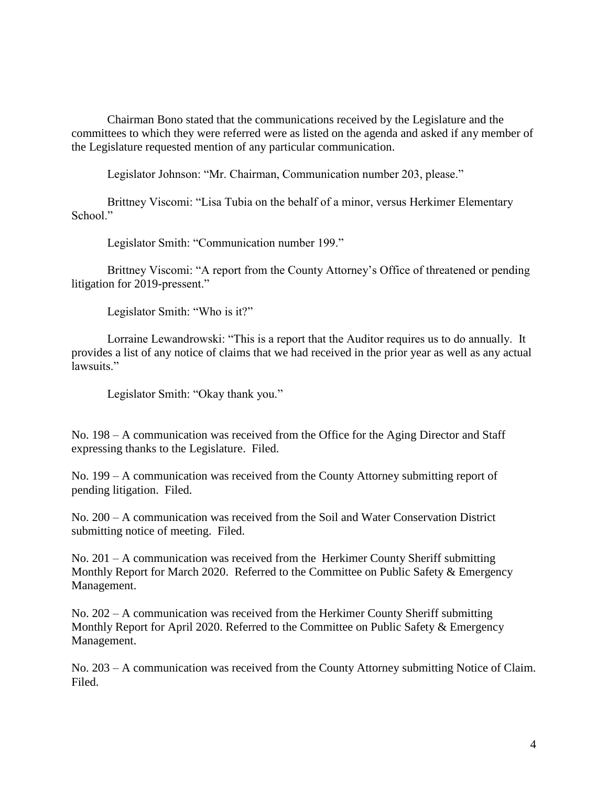Chairman Bono stated that the communications received by the Legislature and the committees to which they were referred were as listed on the agenda and asked if any member of the Legislature requested mention of any particular communication.

Legislator Johnson: "Mr. Chairman, Communication number 203, please."

Brittney Viscomi: "Lisa Tubia on the behalf of a minor, versus Herkimer Elementary School."

Legislator Smith: "Communication number 199."

Brittney Viscomi: "A report from the County Attorney's Office of threatened or pending litigation for 2019-pressent."

Legislator Smith: "Who is it?"

Lorraine Lewandrowski: "This is a report that the Auditor requires us to do annually. It provides a list of any notice of claims that we had received in the prior year as well as any actual lawsuits."

Legislator Smith: "Okay thank you."

No. 198 – A communication was received from the Office for the Aging Director and Staff expressing thanks to the Legislature. Filed.

No. 199 – A communication was received from the County Attorney submitting report of pending litigation. Filed.

No. 200 – A communication was received from the Soil and Water Conservation District submitting notice of meeting. Filed.

No. 201 – A communication was received from the Herkimer County Sheriff submitting Monthly Report for March 2020. Referred to the Committee on Public Safety & Emergency Management.

No. 202 – A communication was received from the Herkimer County Sheriff submitting Monthly Report for April 2020. Referred to the Committee on Public Safety & Emergency Management.

No. 203 – A communication was received from the County Attorney submitting Notice of Claim. Filed.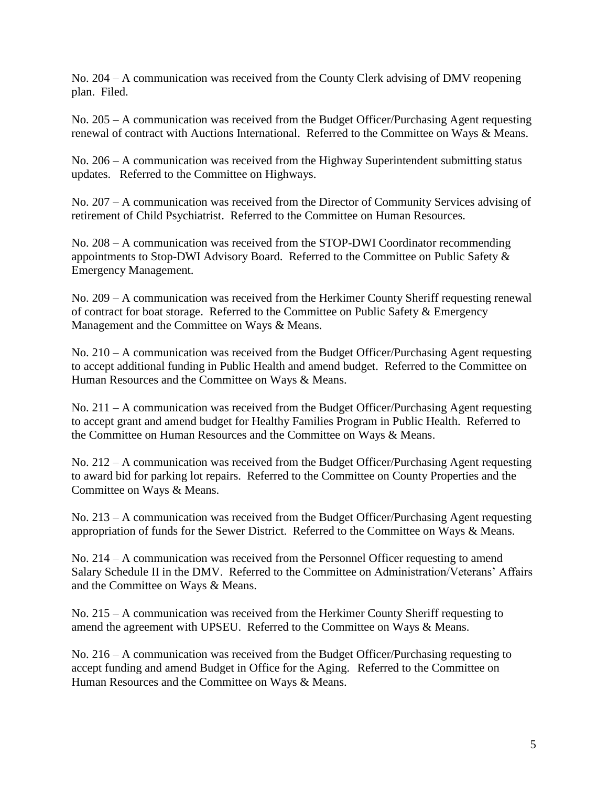No. 204 – A communication was received from the County Clerk advising of DMV reopening plan. Filed.

No. 205 – A communication was received from the Budget Officer/Purchasing Agent requesting renewal of contract with Auctions International. Referred to the Committee on Ways & Means.

No. 206 – A communication was received from the Highway Superintendent submitting status updates. Referred to the Committee on Highways.

No. 207 – A communication was received from the Director of Community Services advising of retirement of Child Psychiatrist. Referred to the Committee on Human Resources.

No. 208 – A communication was received from the STOP-DWI Coordinator recommending appointments to Stop-DWI Advisory Board. Referred to the Committee on Public Safety & Emergency Management.

No. 209 – A communication was received from the Herkimer County Sheriff requesting renewal of contract for boat storage. Referred to the Committee on Public Safety & Emergency Management and the Committee on Ways & Means.

No. 210 – A communication was received from the Budget Officer/Purchasing Agent requesting to accept additional funding in Public Health and amend budget. Referred to the Committee on Human Resources and the Committee on Ways & Means.

No. 211 – A communication was received from the Budget Officer/Purchasing Agent requesting to accept grant and amend budget for Healthy Families Program in Public Health. Referred to the Committee on Human Resources and the Committee on Ways & Means.

No. 212 – A communication was received from the Budget Officer/Purchasing Agent requesting to award bid for parking lot repairs. Referred to the Committee on County Properties and the Committee on Ways & Means.

No. 213 – A communication was received from the Budget Officer/Purchasing Agent requesting appropriation of funds for the Sewer District. Referred to the Committee on Ways & Means.

No. 214 – A communication was received from the Personnel Officer requesting to amend Salary Schedule II in the DMV. Referred to the Committee on Administration/Veterans' Affairs and the Committee on Ways & Means.

No. 215 – A communication was received from the Herkimer County Sheriff requesting to amend the agreement with UPSEU. Referred to the Committee on Ways & Means.

No. 216 – A communication was received from the Budget Officer/Purchasing requesting to accept funding and amend Budget in Office for the Aging. Referred to the Committee on Human Resources and the Committee on Ways & Means.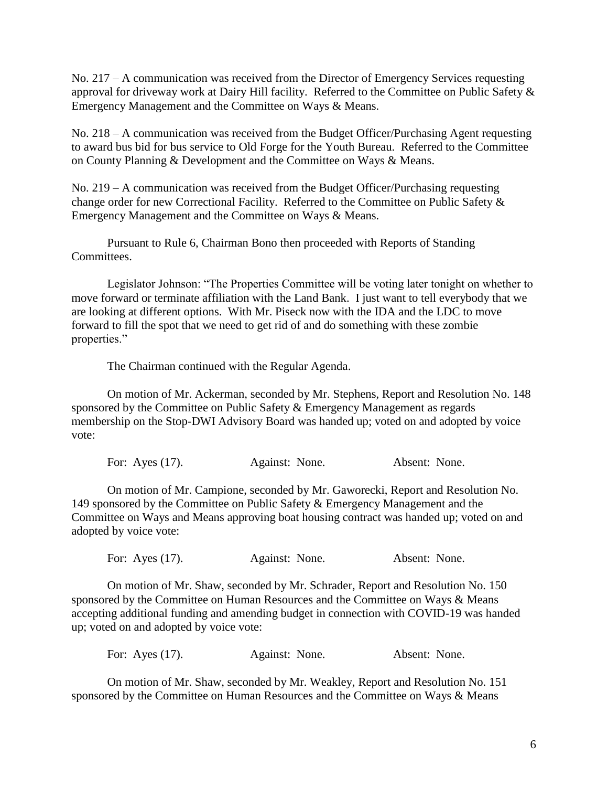No. 217 – A communication was received from the Director of Emergency Services requesting approval for driveway work at Dairy Hill facility. Referred to the Committee on Public Safety & Emergency Management and the Committee on Ways & Means.

No. 218 – A communication was received from the Budget Officer/Purchasing Agent requesting to award bus bid for bus service to Old Forge for the Youth Bureau. Referred to the Committee on County Planning & Development and the Committee on Ways & Means.

No. 219 – A communication was received from the Budget Officer/Purchasing requesting change order for new Correctional Facility. Referred to the Committee on Public Safety & Emergency Management and the Committee on Ways & Means.

Pursuant to Rule 6, Chairman Bono then proceeded with Reports of Standing Committees.

Legislator Johnson: "The Properties Committee will be voting later tonight on whether to move forward or terminate affiliation with the Land Bank. I just want to tell everybody that we are looking at different options. With Mr. Piseck now with the IDA and the LDC to move forward to fill the spot that we need to get rid of and do something with these zombie properties."

The Chairman continued with the Regular Agenda.

On motion of Mr. Ackerman, seconded by Mr. Stephens, Report and Resolution No. 148 sponsored by the Committee on Public Safety & Emergency Management as regards membership on the Stop-DWI Advisory Board was handed up; voted on and adopted by voice vote:

|  | For: Ayes $(17)$ . | Against: None. | Absent: None. |
|--|--------------------|----------------|---------------|
|--|--------------------|----------------|---------------|

On motion of Mr. Campione, seconded by Mr. Gaworecki, Report and Resolution No. 149 sponsored by the Committee on Public Safety & Emergency Management and the Committee on Ways and Means approving boat housing contract was handed up; voted on and adopted by voice vote:

For: Ayes (17). Against: None. Absent: None.

On motion of Mr. Shaw, seconded by Mr. Schrader, Report and Resolution No. 150 sponsored by the Committee on Human Resources and the Committee on Ways & Means accepting additional funding and amending budget in connection with COVID-19 was handed up; voted on and adopted by voice vote:

For: Ayes (17). Against: None. Absent: None.

On motion of Mr. Shaw, seconded by Mr. Weakley, Report and Resolution No. 151 sponsored by the Committee on Human Resources and the Committee on Ways & Means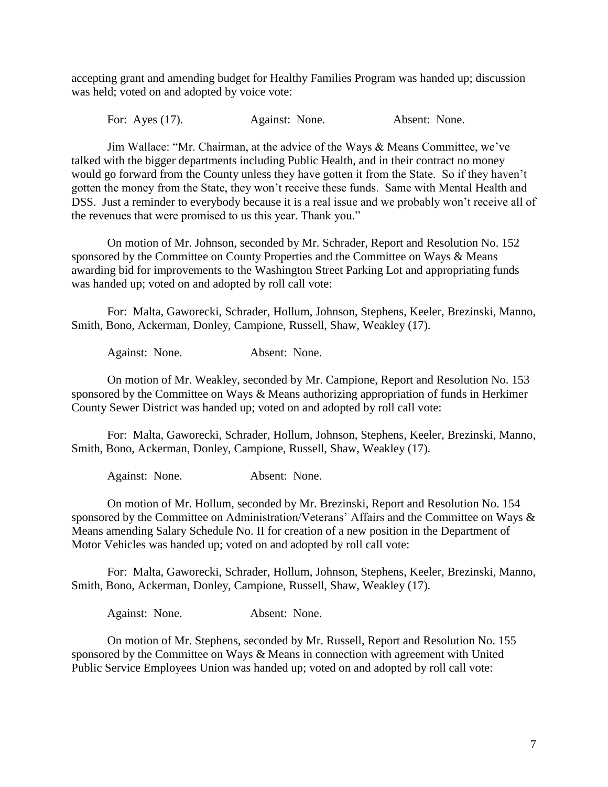accepting grant and amending budget for Healthy Families Program was handed up; discussion was held; voted on and adopted by voice vote:

For: Ayes (17). Against: None. Absent: None.

Jim Wallace: "Mr. Chairman, at the advice of the Ways & Means Committee, we've talked with the bigger departments including Public Health, and in their contract no money would go forward from the County unless they have gotten it from the State. So if they haven't gotten the money from the State, they won't receive these funds. Same with Mental Health and DSS. Just a reminder to everybody because it is a real issue and we probably won't receive all of the revenues that were promised to us this year. Thank you."

On motion of Mr. Johnson, seconded by Mr. Schrader, Report and Resolution No. 152 sponsored by the Committee on County Properties and the Committee on Ways & Means awarding bid for improvements to the Washington Street Parking Lot and appropriating funds was handed up; voted on and adopted by roll call vote:

For: Malta, Gaworecki, Schrader, Hollum, Johnson, Stephens, Keeler, Brezinski, Manno, Smith, Bono, Ackerman, Donley, Campione, Russell, Shaw, Weakley (17).

Against: None. Absent: None.

On motion of Mr. Weakley, seconded by Mr. Campione, Report and Resolution No. 153 sponsored by the Committee on Ways & Means authorizing appropriation of funds in Herkimer County Sewer District was handed up; voted on and adopted by roll call vote:

For: Malta, Gaworecki, Schrader, Hollum, Johnson, Stephens, Keeler, Brezinski, Manno, Smith, Bono, Ackerman, Donley, Campione, Russell, Shaw, Weakley (17).

Against: None. Absent: None.

On motion of Mr. Hollum, seconded by Mr. Brezinski, Report and Resolution No. 154 sponsored by the Committee on Administration/Veterans' Affairs and the Committee on Ways & Means amending Salary Schedule No. II for creation of a new position in the Department of Motor Vehicles was handed up; voted on and adopted by roll call vote:

For: Malta, Gaworecki, Schrader, Hollum, Johnson, Stephens, Keeler, Brezinski, Manno, Smith, Bono, Ackerman, Donley, Campione, Russell, Shaw, Weakley (17).

Against: None. Absent: None.

On motion of Mr. Stephens, seconded by Mr. Russell, Report and Resolution No. 155 sponsored by the Committee on Ways & Means in connection with agreement with United Public Service Employees Union was handed up; voted on and adopted by roll call vote: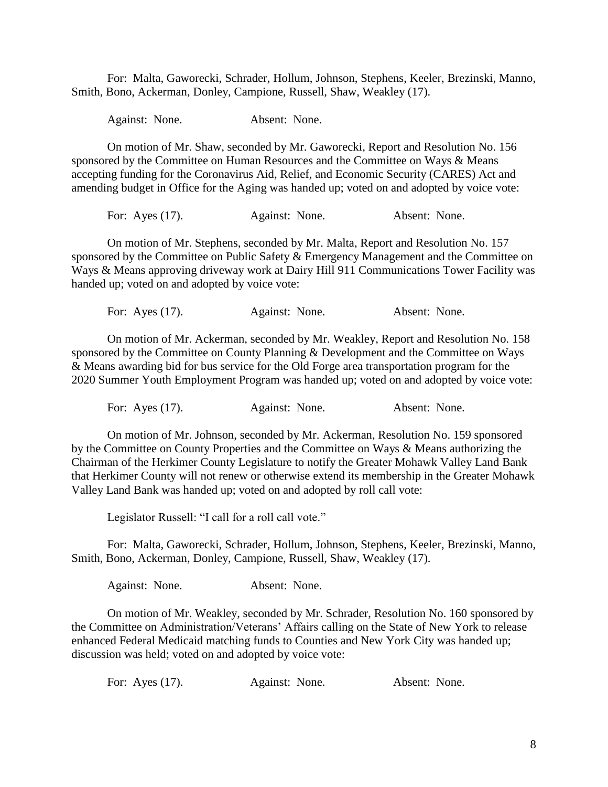For: Malta, Gaworecki, Schrader, Hollum, Johnson, Stephens, Keeler, Brezinski, Manno, Smith, Bono, Ackerman, Donley, Campione, Russell, Shaw, Weakley (17).

Against: None. Absent: None.

On motion of Mr. Shaw, seconded by Mr. Gaworecki, Report and Resolution No. 156 sponsored by the Committee on Human Resources and the Committee on Ways & Means accepting funding for the Coronavirus Aid, Relief, and Economic Security (CARES) Act and amending budget in Office for the Aging was handed up; voted on and adopted by voice vote:

For: Ayes (17). Against: None. Absent: None.

On motion of Mr. Stephens, seconded by Mr. Malta, Report and Resolution No. 157 sponsored by the Committee on Public Safety & Emergency Management and the Committee on Ways & Means approving driveway work at Dairy Hill 911 Communications Tower Facility was handed up; voted on and adopted by voice vote:

For: Ayes (17). Against: None. Absent: None.

On motion of Mr. Ackerman, seconded by Mr. Weakley, Report and Resolution No. 158 sponsored by the Committee on County Planning & Development and the Committee on Ways & Means awarding bid for bus service for the Old Forge area transportation program for the 2020 Summer Youth Employment Program was handed up; voted on and adopted by voice vote:

For: Ayes (17). Against: None. Absent: None.

On motion of Mr. Johnson, seconded by Mr. Ackerman, Resolution No. 159 sponsored by the Committee on County Properties and the Committee on Ways & Means authorizing the Chairman of the Herkimer County Legislature to notify the Greater Mohawk Valley Land Bank that Herkimer County will not renew or otherwise extend its membership in the Greater Mohawk Valley Land Bank was handed up; voted on and adopted by roll call vote:

Legislator Russell: "I call for a roll call vote."

For: Malta, Gaworecki, Schrader, Hollum, Johnson, Stephens, Keeler, Brezinski, Manno, Smith, Bono, Ackerman, Donley, Campione, Russell, Shaw, Weakley (17).

Against: None. Absent: None.

On motion of Mr. Weakley, seconded by Mr. Schrader, Resolution No. 160 sponsored by the Committee on Administration/Veterans' Affairs calling on the State of New York to release enhanced Federal Medicaid matching funds to Counties and New York City was handed up; discussion was held; voted on and adopted by voice vote:

For: Ayes (17). Against: None. Absent: None.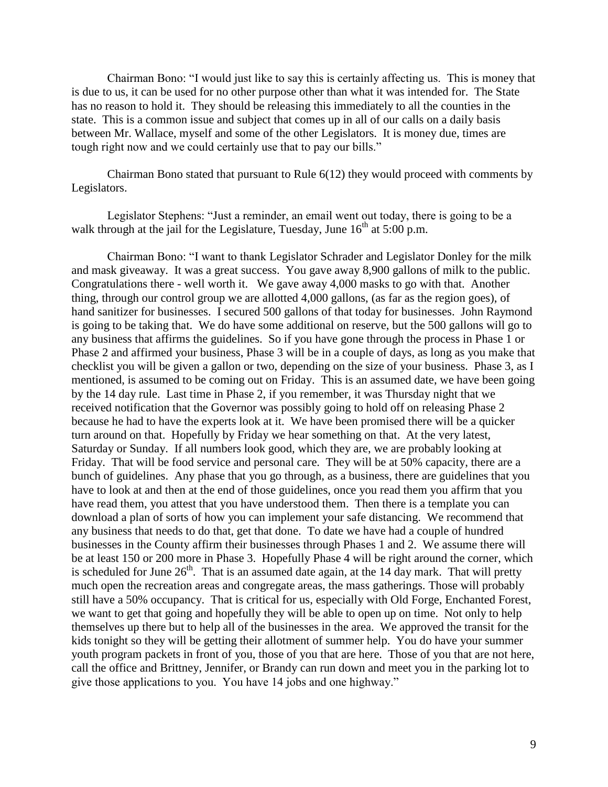Chairman Bono: "I would just like to say this is certainly affecting us. This is money that is due to us, it can be used for no other purpose other than what it was intended for. The State has no reason to hold it. They should be releasing this immediately to all the counties in the state. This is a common issue and subject that comes up in all of our calls on a daily basis between Mr. Wallace, myself and some of the other Legislators. It is money due, times are tough right now and we could certainly use that to pay our bills."

Chairman Bono stated that pursuant to Rule 6(12) they would proceed with comments by Legislators.

Legislator Stephens: "Just a reminder, an email went out today, there is going to be a walk through at the jail for the Legislature, Tuesday, June  $16<sup>th</sup>$  at 5:00 p.m.

Chairman Bono: "I want to thank Legislator Schrader and Legislator Donley for the milk and mask giveaway. It was a great success. You gave away 8,900 gallons of milk to the public. Congratulations there - well worth it. We gave away 4,000 masks to go with that. Another thing, through our control group we are allotted 4,000 gallons, (as far as the region goes), of hand sanitizer for businesses. I secured 500 gallons of that today for businesses. John Raymond is going to be taking that. We do have some additional on reserve, but the 500 gallons will go to any business that affirms the guidelines. So if you have gone through the process in Phase 1 or Phase 2 and affirmed your business, Phase 3 will be in a couple of days, as long as you make that checklist you will be given a gallon or two, depending on the size of your business. Phase 3, as I mentioned, is assumed to be coming out on Friday. This is an assumed date, we have been going by the 14 day rule. Last time in Phase 2, if you remember, it was Thursday night that we received notification that the Governor was possibly going to hold off on releasing Phase 2 because he had to have the experts look at it. We have been promised there will be a quicker turn around on that. Hopefully by Friday we hear something on that. At the very latest, Saturday or Sunday. If all numbers look good, which they are, we are probably looking at Friday. That will be food service and personal care. They will be at 50% capacity, there are a bunch of guidelines. Any phase that you go through, as a business, there are guidelines that you have to look at and then at the end of those guidelines, once you read them you affirm that you have read them, you attest that you have understood them. Then there is a template you can download a plan of sorts of how you can implement your safe distancing. We recommend that any business that needs to do that, get that done. To date we have had a couple of hundred businesses in the County affirm their businesses through Phases 1 and 2. We assume there will be at least 150 or 200 more in Phase 3. Hopefully Phase 4 will be right around the corner, which is scheduled for June  $26<sup>th</sup>$ . That is an assumed date again, at the 14 day mark. That will pretty much open the recreation areas and congregate areas, the mass gatherings. Those will probably still have a 50% occupancy. That is critical for us, especially with Old Forge, Enchanted Forest, we want to get that going and hopefully they will be able to open up on time. Not only to help themselves up there but to help all of the businesses in the area. We approved the transit for the kids tonight so they will be getting their allotment of summer help. You do have your summer youth program packets in front of you, those of you that are here. Those of you that are not here, call the office and Brittney, Jennifer, or Brandy can run down and meet you in the parking lot to give those applications to you. You have 14 jobs and one highway."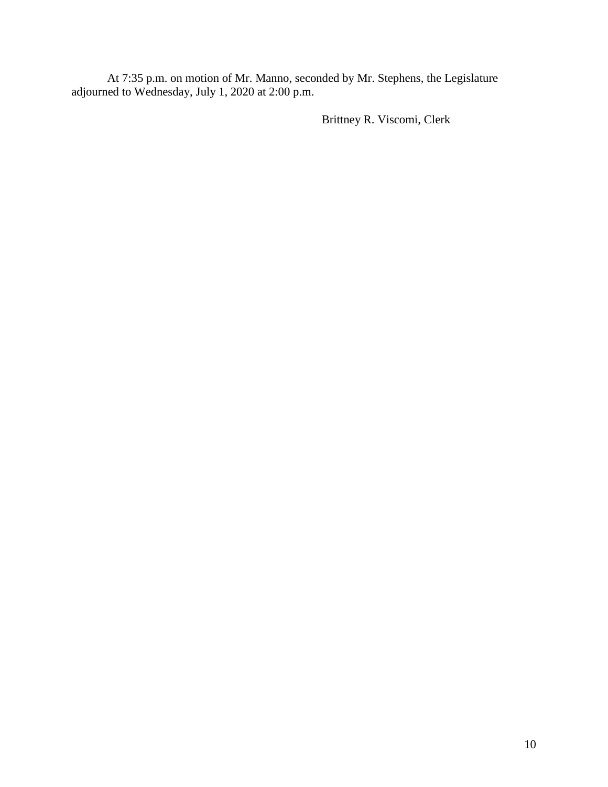At 7:35 p.m. on motion of Mr. Manno, seconded by Mr. Stephens, the Legislature adjourned to Wednesday, July 1, 2020 at 2:00 p.m.

Brittney R. Viscomi, Clerk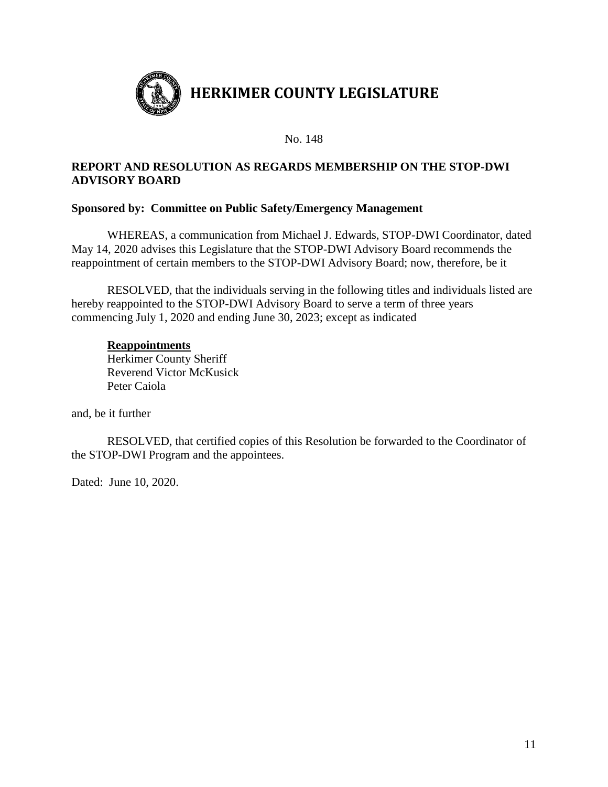

# **REPORT AND RESOLUTION AS REGARDS MEMBERSHIP ON THE STOP-DWI ADVISORY BOARD**

## **Sponsored by: Committee on Public Safety/Emergency Management**

WHEREAS, a communication from Michael J. Edwards, STOP-DWI Coordinator, dated May 14, 2020 advises this Legislature that the STOP-DWI Advisory Board recommends the reappointment of certain members to the STOP-DWI Advisory Board; now, therefore, be it

RESOLVED, that the individuals serving in the following titles and individuals listed are hereby reappointed to the STOP-DWI Advisory Board to serve a term of three years commencing July 1, 2020 and ending June 30, 2023; except as indicated

#### **Reappointments**

Herkimer County Sheriff Reverend Victor McKusick Peter Caiola

and, be it further

RESOLVED, that certified copies of this Resolution be forwarded to the Coordinator of the STOP-DWI Program and the appointees.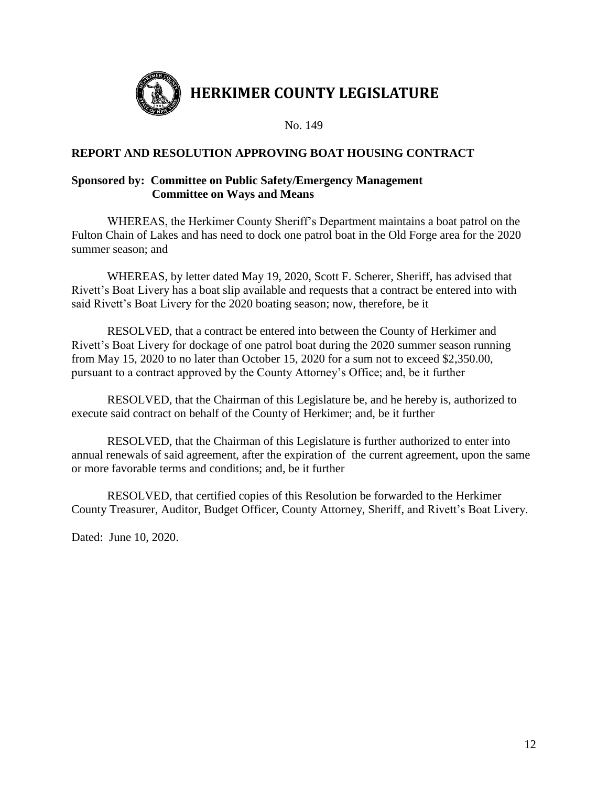

## **REPORT AND RESOLUTION APPROVING BOAT HOUSING CONTRACT**

## **Sponsored by: Committee on Public Safety/Emergency Management Committee on Ways and Means**

WHEREAS, the Herkimer County Sheriff's Department maintains a boat patrol on the Fulton Chain of Lakes and has need to dock one patrol boat in the Old Forge area for the 2020 summer season; and

WHEREAS, by letter dated May 19, 2020, Scott F. Scherer, Sheriff, has advised that Rivett's Boat Livery has a boat slip available and requests that a contract be entered into with said Rivett's Boat Livery for the 2020 boating season; now, therefore, be it

RESOLVED, that a contract be entered into between the County of Herkimer and Rivett's Boat Livery for dockage of one patrol boat during the 2020 summer season running from May 15, 2020 to no later than October 15, 2020 for a sum not to exceed \$2,350.00, pursuant to a contract approved by the County Attorney's Office; and, be it further

RESOLVED, that the Chairman of this Legislature be, and he hereby is, authorized to execute said contract on behalf of the County of Herkimer; and, be it further

RESOLVED, that the Chairman of this Legislature is further authorized to enter into annual renewals of said agreement, after the expiration of the current agreement, upon the same or more favorable terms and conditions; and, be it further

RESOLVED, that certified copies of this Resolution be forwarded to the Herkimer County Treasurer, Auditor, Budget Officer, County Attorney, Sheriff, and Rivett's Boat Livery.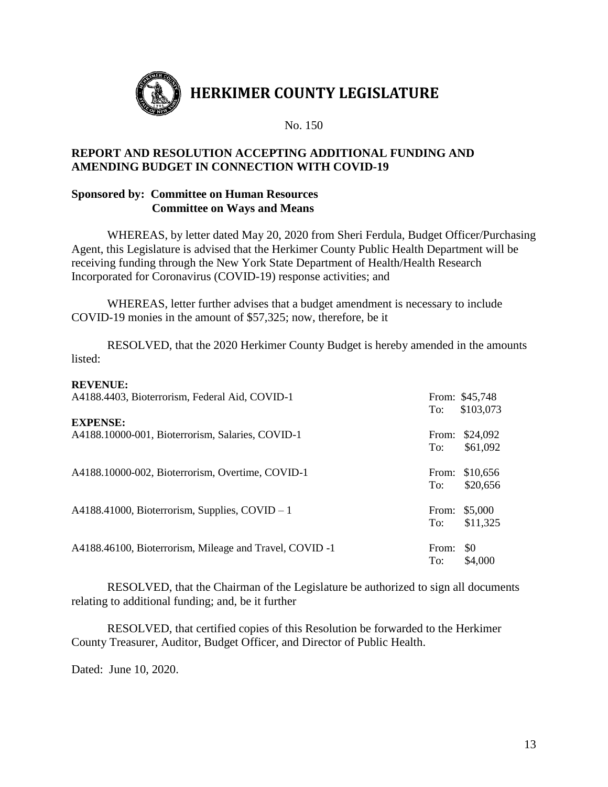

## **REPORT AND RESOLUTION ACCEPTING ADDITIONAL FUNDING AND AMENDING BUDGET IN CONNECTION WITH COVID-19**

## **Sponsored by: Committee on Human Resources Committee on Ways and Means**

WHEREAS, by letter dated May 20, 2020 from Sheri Ferdula, Budget Officer/Purchasing Agent, this Legislature is advised that the Herkimer County Public Health Department will be receiving funding through the New York State Department of Health/Health Research Incorporated for Coronavirus (COVID-19) response activities; and

WHEREAS, letter further advises that a budget amendment is necessary to include COVID-19 monies in the amount of \$57,325; now, therefore, be it

RESOLVED, that the 2020 Herkimer County Budget is hereby amended in the amounts listed:

| <b>KEVENUE:</b><br>A4188.4403, Bioterrorism, Federal Aid, COVID-1   | To:          | From: \$45,748<br>\$103,073 |
|---------------------------------------------------------------------|--------------|-----------------------------|
| <b>EXPENSE:</b><br>A4188.10000-001, Bioterrorism, Salaries, COVID-1 | From:<br>To: | \$24,092<br>\$61,092        |
| A4188.10000-002, Bioterrorism, Overtime, COVID-1                    | From:<br>To: | \$10,656<br>\$20,656        |
| A4188.41000, Bioterrorism, Supplies, COVID $-1$                     | From:<br>To: | \$5,000<br>\$11,325         |
| A4188.46100, Bioterrorism, Mileage and Travel, COVID -1             | From:<br>To: | \$0<br>\$4,000              |

RESOLVED, that the Chairman of the Legislature be authorized to sign all documents relating to additional funding; and, be it further

RESOLVED, that certified copies of this Resolution be forwarded to the Herkimer County Treasurer, Auditor, Budget Officer, and Director of Public Health.

Dated: June 10, 2020.

**REVENUE:**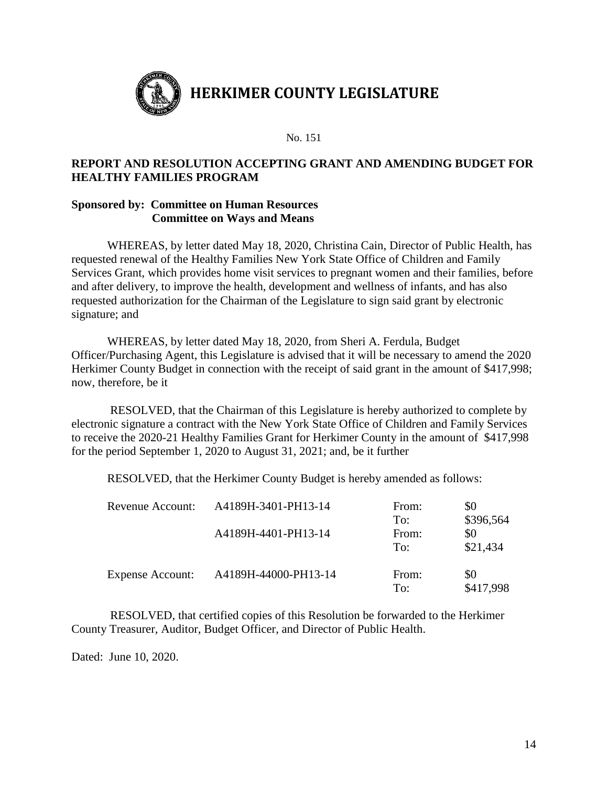

## **REPORT AND RESOLUTION ACCEPTING GRANT AND AMENDING BUDGET FOR HEALTHY FAMILIES PROGRAM**

## **Sponsored by: Committee on Human Resources Committee on Ways and Means**

WHEREAS, by letter dated May 18, 2020, Christina Cain, Director of Public Health, has requested renewal of the Healthy Families New York State Office of Children and Family Services Grant, which provides home visit services to pregnant women and their families, before and after delivery, to improve the health, development and wellness of infants, and has also requested authorization for the Chairman of the Legislature to sign said grant by electronic signature; and

WHEREAS, by letter dated May 18, 2020, from Sheri A. Ferdula, Budget Officer/Purchasing Agent, this Legislature is advised that it will be necessary to amend the 2020 Herkimer County Budget in connection with the receipt of said grant in the amount of \$417,998; now, therefore, be it

RESOLVED, that the Chairman of this Legislature is hereby authorized to complete by electronic signature a contract with the New York State Office of Children and Family Services to receive the 2020-21 Healthy Families Grant for Herkimer County in the amount of \$417,998 for the period September 1, 2020 to August 31, 2021; and, be it further

RESOLVED, that the Herkimer County Budget is hereby amended as follows:

| Revenue Account:        | A4189H-3401-PH13-14  | From: | \$0       |
|-------------------------|----------------------|-------|-----------|
|                         |                      | To:   | \$396,564 |
|                         | A4189H-4401-PH13-14  | From: | \$0       |
|                         |                      | To:   | \$21,434  |
|                         |                      |       |           |
| <b>Expense Account:</b> | A4189H-44000-PH13-14 | From: | \$0       |
|                         |                      | To:   | \$417,998 |

RESOLVED, that certified copies of this Resolution be forwarded to the Herkimer County Treasurer, Auditor, Budget Officer, and Director of Public Health.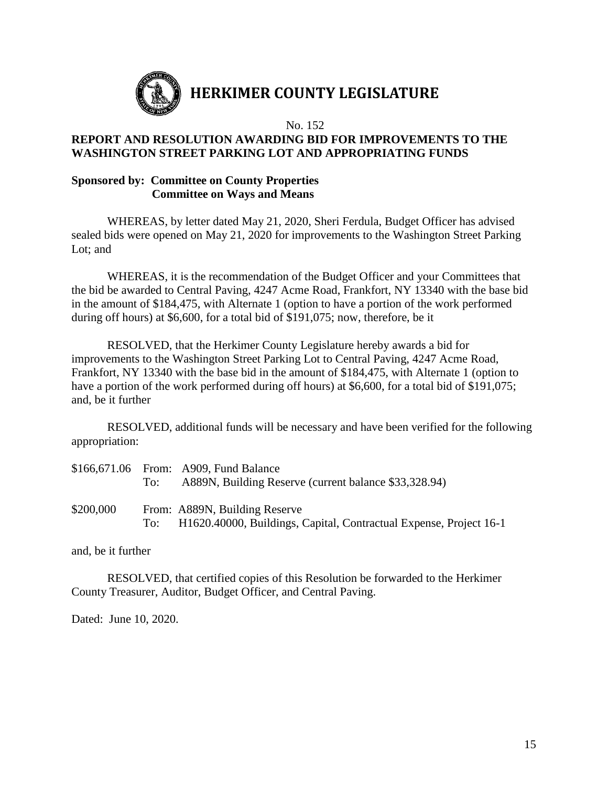

# **HERKIMER COUNTY LEGISLATURE**

No. 152

## **REPORT AND RESOLUTION AWARDING BID FOR IMPROVEMENTS TO THE WASHINGTON STREET PARKING LOT AND APPROPRIATING FUNDS**

## **Sponsored by: Committee on County Properties Committee on Ways and Means**

WHEREAS, by letter dated May 21, 2020, Sheri Ferdula, Budget Officer has advised sealed bids were opened on May 21, 2020 for improvements to the Washington Street Parking Lot; and

WHEREAS, it is the recommendation of the Budget Officer and your Committees that the bid be awarded to Central Paving, 4247 Acme Road, Frankfort, NY 13340 with the base bid in the amount of \$184,475, with Alternate 1 (option to have a portion of the work performed during off hours) at \$6,600, for a total bid of \$191,075; now, therefore, be it

RESOLVED, that the Herkimer County Legislature hereby awards a bid for improvements to the Washington Street Parking Lot to Central Paving, 4247 Acme Road, Frankfort, NY 13340 with the base bid in the amount of \$184,475, with Alternate 1 (option to have a portion of the work performed during off hours) at \$6,600, for a total bid of \$191,075; and, be it further

RESOLVED, additional funds will be necessary and have been verified for the following appropriation:

|           | To: | \$166,671.06 From: A909, Fund Balance<br>A889N, Building Reserve (current balance \$33,328.94)      |
|-----------|-----|-----------------------------------------------------------------------------------------------------|
| \$200,000 | To: | From: A889N, Building Reserve<br>H1620.40000, Buildings, Capital, Contractual Expense, Project 16-1 |

and, be it further

RESOLVED, that certified copies of this Resolution be forwarded to the Herkimer County Treasurer, Auditor, Budget Officer, and Central Paving.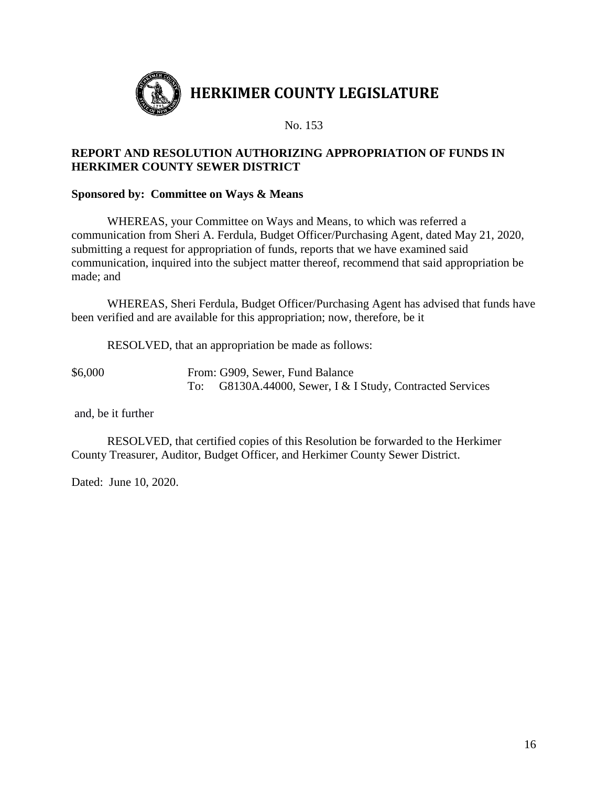

# **REPORT AND RESOLUTION AUTHORIZING APPROPRIATION OF FUNDS IN HERKIMER COUNTY SEWER DISTRICT**

## **Sponsored by: Committee on Ways & Means**

WHEREAS, your Committee on Ways and Means, to which was referred a communication from Sheri A. Ferdula, Budget Officer/Purchasing Agent, dated May 21, 2020, submitting a request for appropriation of funds, reports that we have examined said communication, inquired into the subject matter thereof, recommend that said appropriation be made; and

WHEREAS, Sheri Ferdula, Budget Officer/Purchasing Agent has advised that funds have been verified and are available for this appropriation; now, therefore, be it

RESOLVED, that an appropriation be made as follows:

\$6,000 From: G909, Sewer, Fund Balance To: G8130A.44000, Sewer, I & I Study, Contracted Services

and, be it further

RESOLVED, that certified copies of this Resolution be forwarded to the Herkimer County Treasurer, Auditor, Budget Officer, and Herkimer County Sewer District.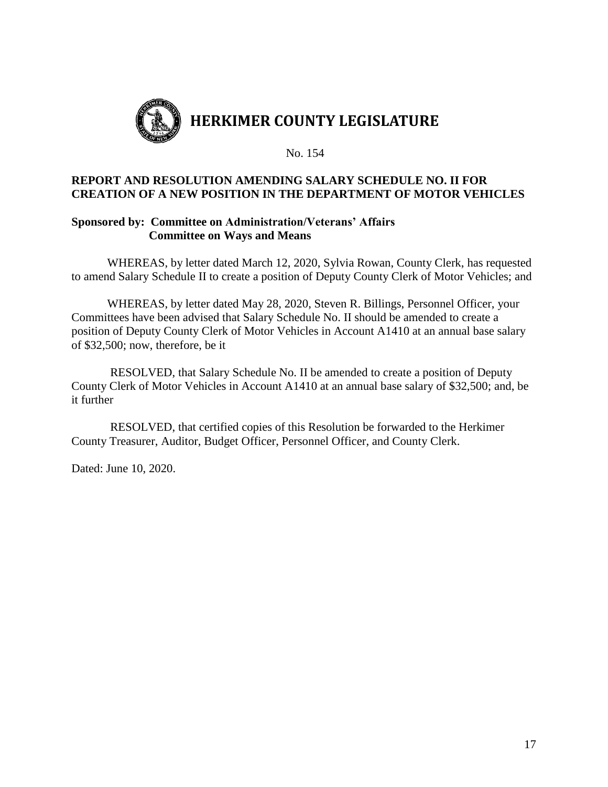

## **REPORT AND RESOLUTION AMENDING SALARY SCHEDULE NO. II FOR CREATION OF A NEW POSITION IN THE DEPARTMENT OF MOTOR VEHICLES**

## **Sponsored by: Committee on Administration/Veterans' Affairs Committee on Ways and Means**

WHEREAS, by letter dated March 12, 2020, Sylvia Rowan, County Clerk, has requested to amend Salary Schedule II to create a position of Deputy County Clerk of Motor Vehicles; and

WHEREAS, by letter dated May 28, 2020, Steven R. Billings, Personnel Officer, your Committees have been advised that Salary Schedule No. II should be amended to create a position of Deputy County Clerk of Motor Vehicles in Account A1410 at an annual base salary of \$32,500; now, therefore, be it

RESOLVED, that Salary Schedule No. II be amended to create a position of Deputy County Clerk of Motor Vehicles in Account A1410 at an annual base salary of \$32,500; and, be it further

RESOLVED, that certified copies of this Resolution be forwarded to the Herkimer County Treasurer, Auditor, Budget Officer, Personnel Officer, and County Clerk.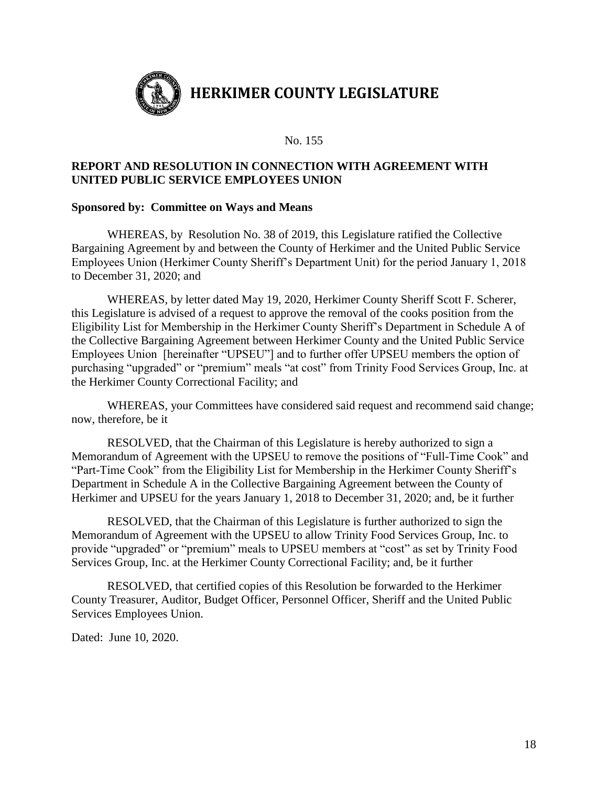

## **REPORT AND RESOLUTION IN CONNECTION WITH AGREEMENT WITH UNITED PUBLIC SERVICE EMPLOYEES UNION**

#### **Sponsored by: Committee on Ways and Means**

WHEREAS, by Resolution No. 38 of 2019, this Legislature ratified the Collective Bargaining Agreement by and between the County of Herkimer and the United Public Service Employees Union (Herkimer County Sheriff's Department Unit) for the period January 1, 2018 to December 31, 2020; and

WHEREAS, by letter dated May 19, 2020, Herkimer County Sheriff Scott F. Scherer, this Legislature is advised of a request to approve the removal of the cooks position from the Eligibility List for Membership in the Herkimer County Sheriff's Department in Schedule A of the Collective Bargaining Agreement between Herkimer County and the United Public Service Employees Union [hereinafter "UPSEU"] and to further offer UPSEU members the option of purchasing "upgraded" or "premium" meals "at cost" from Trinity Food Services Group, Inc. at the Herkimer County Correctional Facility; and

WHEREAS, your Committees have considered said request and recommend said change; now, therefore, be it

RESOLVED, that the Chairman of this Legislature is hereby authorized to sign a Memorandum of Agreement with the UPSEU to remove the positions of "Full-Time Cook" and "Part-Time Cook" from the Eligibility List for Membership in the Herkimer County Sheriff's Department in Schedule A in the Collective Bargaining Agreement between the County of Herkimer and UPSEU for the years January 1, 2018 to December 31, 2020; and, be it further

RESOLVED, that the Chairman of this Legislature is further authorized to sign the Memorandum of Agreement with the UPSEU to allow Trinity Food Services Group, Inc. to provide "upgraded" or "premium" meals to UPSEU members at "cost" as set by Trinity Food Services Group, Inc. at the Herkimer County Correctional Facility; and, be it further

RESOLVED, that certified copies of this Resolution be forwarded to the Herkimer County Treasurer, Auditor, Budget Officer, Personnel Officer, Sheriff and the United Public Services Employees Union.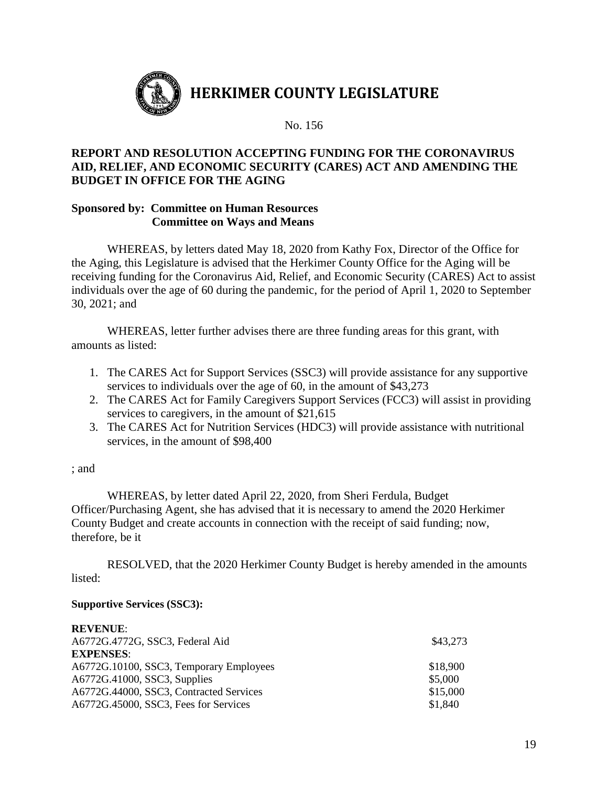

## **REPORT AND RESOLUTION ACCEPTING FUNDING FOR THE CORONAVIRUS AID, RELIEF, AND ECONOMIC SECURITY (CARES) ACT AND AMENDING THE BUDGET IN OFFICE FOR THE AGING**

## **Sponsored by: Committee on Human Resources Committee on Ways and Means**

WHEREAS, by letters dated May 18, 2020 from Kathy Fox, Director of the Office for the Aging, this Legislature is advised that the Herkimer County Office for the Aging will be receiving funding for the Coronavirus Aid, Relief, and Economic Security (CARES) Act to assist individuals over the age of 60 during the pandemic, for the period of April 1, 2020 to September 30, 2021; and

WHEREAS, letter further advises there are three funding areas for this grant, with amounts as listed:

- 1. The CARES Act for Support Services (SSC3) will provide assistance for any supportive services to individuals over the age of 60, in the amount of \$43,273
- 2. The CARES Act for Family Caregivers Support Services (FCC3) will assist in providing services to caregivers, in the amount of \$21,615
- 3. The CARES Act for Nutrition Services (HDC3) will provide assistance with nutritional services, in the amount of \$98,400

#### ; and

WHEREAS, by letter dated April 22, 2020, from Sheri Ferdula, Budget Officer/Purchasing Agent, she has advised that it is necessary to amend the 2020 Herkimer County Budget and create accounts in connection with the receipt of said funding; now, therefore, be it

RESOLVED, that the 2020 Herkimer County Budget is hereby amended in the amounts listed:

#### **Supportive Services (SSC3):**

| <b>REVENUE:</b>                         |          |
|-----------------------------------------|----------|
| A6772G.4772G, SSC3, Federal Aid         | \$43,273 |
| <b>EXPENSES:</b>                        |          |
| A6772G.10100, SSC3, Temporary Employees | \$18,900 |
| A6772G.41000, SSC3, Supplies            | \$5,000  |
| A6772G.44000, SSC3, Contracted Services | \$15,000 |
| A6772G.45000, SSC3, Fees for Services   | \$1,840  |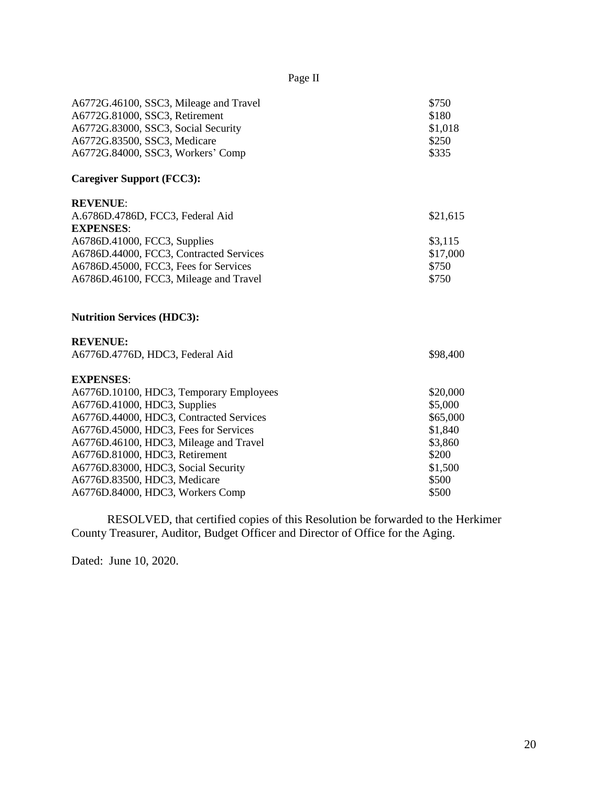| Page II                                                                                     |
|---------------------------------------------------------------------------------------------|
| \$750<br>\$180<br>\$1,018<br>\$250<br>\$335                                                 |
|                                                                                             |
| \$21,615<br>\$3,115<br>\$17,000<br>\$750<br>\$750                                           |
|                                                                                             |
| \$98,400                                                                                    |
| \$20,000<br>\$5,000<br>\$65,000<br>\$1,840<br>\$3,860<br>\$200<br>\$1,500<br>\$500<br>\$500 |
|                                                                                             |

RESOLVED, that certified copies of this Resolution be forwarded to the Herkimer County Treasurer, Auditor, Budget Officer and Director of Office for the Aging.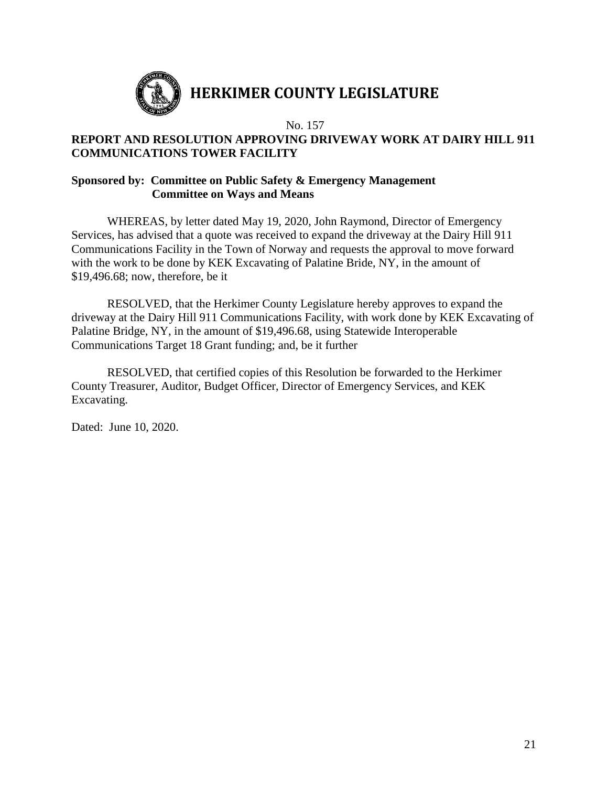

## **REPORT AND RESOLUTION APPROVING DRIVEWAY WORK AT DAIRY HILL 911 COMMUNICATIONS TOWER FACILITY**

## **Sponsored by: Committee on Public Safety & Emergency Management Committee on Ways and Means**

WHEREAS, by letter dated May 19, 2020, John Raymond, Director of Emergency Services, has advised that a quote was received to expand the driveway at the Dairy Hill 911 Communications Facility in the Town of Norway and requests the approval to move forward with the work to be done by KEK Excavating of Palatine Bride, NY, in the amount of \$19,496.68; now, therefore, be it

RESOLVED, that the Herkimer County Legislature hereby approves to expand the driveway at the Dairy Hill 911 Communications Facility, with work done by KEK Excavating of Palatine Bridge, NY, in the amount of \$19,496.68, using Statewide Interoperable Communications Target 18 Grant funding; and, be it further

RESOLVED, that certified copies of this Resolution be forwarded to the Herkimer County Treasurer, Auditor, Budget Officer, Director of Emergency Services, and KEK Excavating.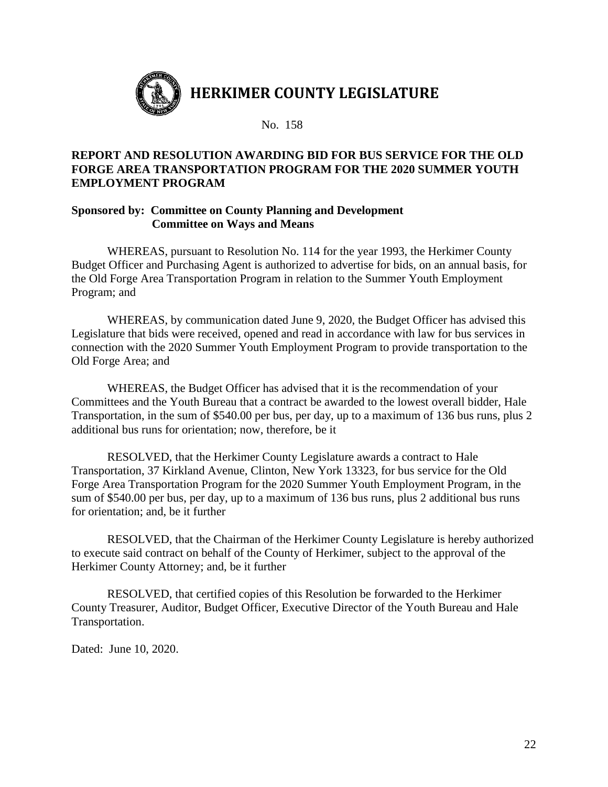

## **REPORT AND RESOLUTION AWARDING BID FOR BUS SERVICE FOR THE OLD FORGE AREA TRANSPORTATION PROGRAM FOR THE 2020 SUMMER YOUTH EMPLOYMENT PROGRAM**

## **Sponsored by: Committee on County Planning and Development Committee on Ways and Means**

WHEREAS, pursuant to Resolution No. 114 for the year 1993, the Herkimer County Budget Officer and Purchasing Agent is authorized to advertise for bids, on an annual basis, for the Old Forge Area Transportation Program in relation to the Summer Youth Employment Program; and

WHEREAS, by communication dated June 9, 2020, the Budget Officer has advised this Legislature that bids were received, opened and read in accordance with law for bus services in connection with the 2020 Summer Youth Employment Program to provide transportation to the Old Forge Area; and

WHEREAS, the Budget Officer has advised that it is the recommendation of your Committees and the Youth Bureau that a contract be awarded to the lowest overall bidder, Hale Transportation, in the sum of \$540.00 per bus, per day, up to a maximum of 136 bus runs, plus 2 additional bus runs for orientation; now, therefore, be it

RESOLVED, that the Herkimer County Legislature awards a contract to Hale Transportation, 37 Kirkland Avenue, Clinton, New York 13323, for bus service for the Old Forge Area Transportation Program for the 2020 Summer Youth Employment Program, in the sum of \$540.00 per bus, per day, up to a maximum of 136 bus runs, plus 2 additional bus runs for orientation; and, be it further

RESOLVED, that the Chairman of the Herkimer County Legislature is hereby authorized to execute said contract on behalf of the County of Herkimer, subject to the approval of the Herkimer County Attorney; and, be it further

RESOLVED, that certified copies of this Resolution be forwarded to the Herkimer County Treasurer, Auditor, Budget Officer, Executive Director of the Youth Bureau and Hale Transportation.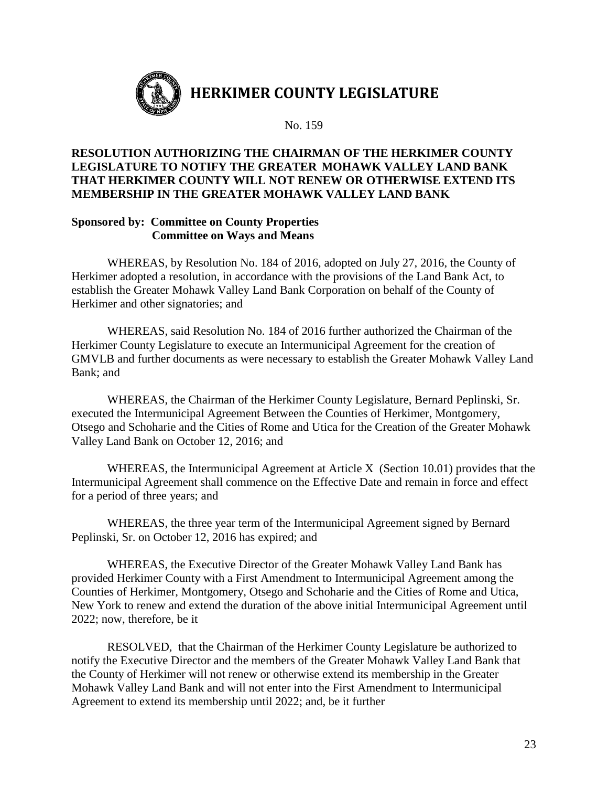

## **RESOLUTION AUTHORIZING THE CHAIRMAN OF THE HERKIMER COUNTY LEGISLATURE TO NOTIFY THE GREATER MOHAWK VALLEY LAND BANK THAT HERKIMER COUNTY WILL NOT RENEW OR OTHERWISE EXTEND ITS MEMBERSHIP IN THE GREATER MOHAWK VALLEY LAND BANK**

#### **Sponsored by: Committee on County Properties Committee on Ways and Means**

WHEREAS, by Resolution No. 184 of 2016, adopted on July 27, 2016, the County of Herkimer adopted a resolution, in accordance with the provisions of the Land Bank Act, to establish the Greater Mohawk Valley Land Bank Corporation on behalf of the County of Herkimer and other signatories; and

WHEREAS, said Resolution No. 184 of 2016 further authorized the Chairman of the Herkimer County Legislature to execute an Intermunicipal Agreement for the creation of GMVLB and further documents as were necessary to establish the Greater Mohawk Valley Land Bank; and

WHEREAS, the Chairman of the Herkimer County Legislature, Bernard Peplinski, Sr. executed the Intermunicipal Agreement Between the Counties of Herkimer, Montgomery, Otsego and Schoharie and the Cities of Rome and Utica for the Creation of the Greater Mohawk Valley Land Bank on October 12, 2016; and

WHEREAS, the Intermunicipal Agreement at Article X (Section 10.01) provides that the Intermunicipal Agreement shall commence on the Effective Date and remain in force and effect for a period of three years; and

WHEREAS, the three year term of the Intermunicipal Agreement signed by Bernard Peplinski, Sr. on October 12, 2016 has expired; and

WHEREAS, the Executive Director of the Greater Mohawk Valley Land Bank has provided Herkimer County with a First Amendment to Intermunicipal Agreement among the Counties of Herkimer, Montgomery, Otsego and Schoharie and the Cities of Rome and Utica, New York to renew and extend the duration of the above initial Intermunicipal Agreement until 2022; now, therefore, be it

RESOLVED, that the Chairman of the Herkimer County Legislature be authorized to notify the Executive Director and the members of the Greater Mohawk Valley Land Bank that the County of Herkimer will not renew or otherwise extend its membership in the Greater Mohawk Valley Land Bank and will not enter into the First Amendment to Intermunicipal Agreement to extend its membership until 2022; and, be it further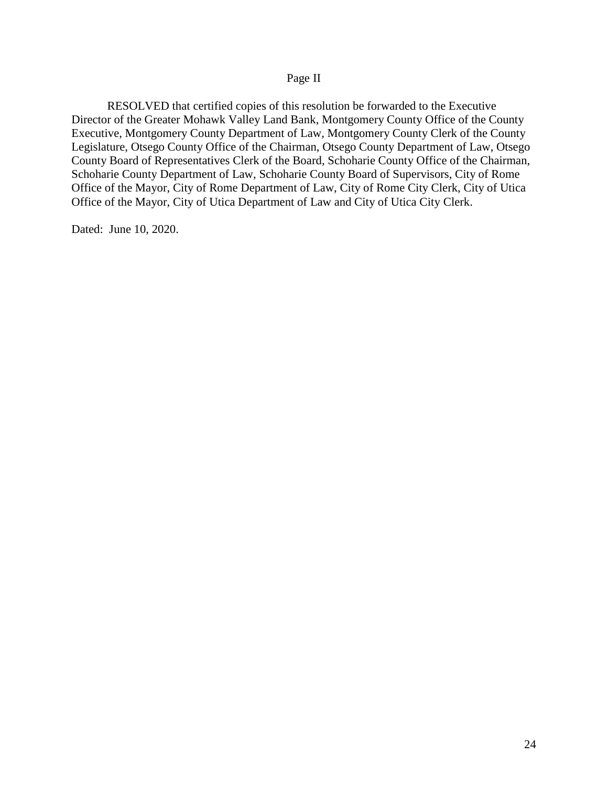#### Page II

RESOLVED that certified copies of this resolution be forwarded to the Executive Director of the Greater Mohawk Valley Land Bank, Montgomery County Office of the County Executive, Montgomery County Department of Law, Montgomery County Clerk of the County Legislature, Otsego County Office of the Chairman, Otsego County Department of Law, Otsego County Board of Representatives Clerk of the Board, Schoharie County Office of the Chairman, Schoharie County Department of Law, Schoharie County Board of Supervisors, City of Rome Office of the Mayor, City of Rome Department of Law, City of Rome City Clerk, City of Utica Office of the Mayor, City of Utica Department of Law and City of Utica City Clerk.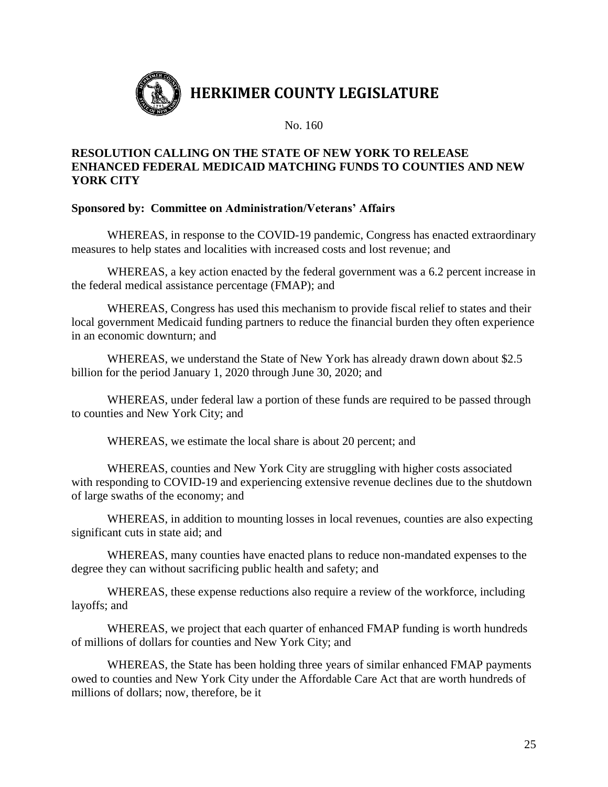

## **RESOLUTION CALLING ON THE STATE OF NEW YORK TO RELEASE ENHANCED FEDERAL MEDICAID MATCHING FUNDS TO COUNTIES AND NEW YORK CITY**

## **Sponsored by: Committee on Administration/Veterans' Affairs**

WHEREAS, in response to the COVID-19 pandemic, Congress has enacted extraordinary measures to help states and localities with increased costs and lost revenue; and

WHEREAS, a key action enacted by the federal government was a 6.2 percent increase in the federal medical assistance percentage (FMAP); and

WHEREAS, Congress has used this mechanism to provide fiscal relief to states and their local government Medicaid funding partners to reduce the financial burden they often experience in an economic downturn; and

WHEREAS, we understand the State of New York has already drawn down about \$2.5 billion for the period January 1, 2020 through June 30, 2020; and

WHEREAS, under federal law a portion of these funds are required to be passed through to counties and New York City; and

WHEREAS, we estimate the local share is about 20 percent; and

WHEREAS, counties and New York City are struggling with higher costs associated with responding to COVID-19 and experiencing extensive revenue declines due to the shutdown of large swaths of the economy; and

WHEREAS, in addition to mounting losses in local revenues, counties are also expecting significant cuts in state aid; and

WHEREAS, many counties have enacted plans to reduce non-mandated expenses to the degree they can without sacrificing public health and safety; and

WHEREAS, these expense reductions also require a review of the workforce, including layoffs; and

WHEREAS, we project that each quarter of enhanced FMAP funding is worth hundreds of millions of dollars for counties and New York City; and

WHEREAS, the State has been holding three years of similar enhanced FMAP payments owed to counties and New York City under the Affordable Care Act that are worth hundreds of millions of dollars; now, therefore, be it